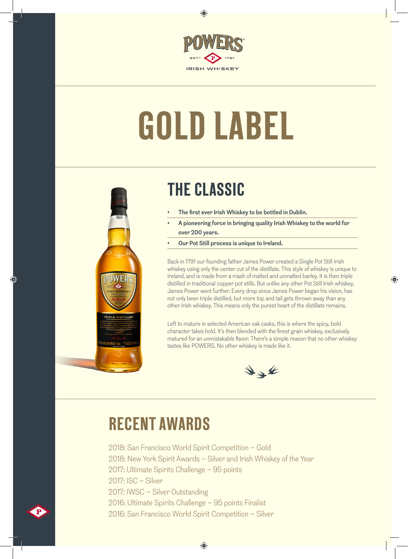

 $\bigcirc$ 

## **GOLD LABEL**



€

## **THE CLASSIC**

- The first ever Irish Whiskey to be bottled in Dublin.
- A pioneering force in bringing quality Irish Whiskey to the world for over 200 years.
- Our Pot Still process is unique to Ireland.

Back in 1791 our founding father James Power created a Single Pot Still Irish whiskey using only the center cut of the distillate. This style of whiskey is unique to Ireland, and is made from a mash of malted and unmalted barley. It is then triple distilled in traditional copper pot stills. But unlike any other Pot Still Irish whiskey, James Power went further. Every drop since James Power began his vision, has not only been triple distilled, but more top and tail gets thrown away than any other Irish whiskey. This means only the purest heart of the distillate remains.

◈

Left to mature in selected American oak casks, this is where the spicy, bold character takes hold. It's then blended with the finest grain whiskey, exclusively matured for an unmistakable flavor. There's a simple reason that no other whiskey tastes like POWERS. No other whiskey is made like it.



## **RECENT AWARDS**

2018: San Francisco World Spirit Competition – Gold 2018: New York Spirit Awards – Silver and Irish Whiskey of the Year 2017: Ultimate Spirits Challenge – 95 points 2017: ISC – Silver 2017: IWSC – Silver Outstanding 2016: Ultimate Spirits Challenge – 95 points Finalist 2016: San Francisco World Spirit Competition – Silver

 $\bigoplus$